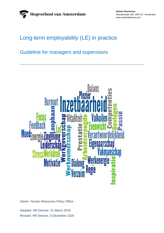**Human Resources** Weesperzijde 190, 1097 DZ Amsterdam www.amsterdamuas.com

# Long-term employability (LE) in practice

# Guideline for managers and supervisors



Owner: Human Resources Policy Office

Adopted: HR Director, 21 March 2018 Revised: HR Director, 8 December 2020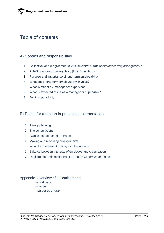# Table of contents

## A) Context and responsibilities

- 1. Collective labour agreement (CAO: *collectieve arbeidsovereenkomst*) arrangements
- 2. AUAS Long-term Employability (LE) Regulations
- 3. Purpose and importance of long-term employability
- 4. What does 'long-term employability' involve?
- 5. What is meant by 'manager or supervisor'?
- 6. What is expected of me as a manager or supervisor?
- 7. Joint responsibility

## B) Points for attention in practical implementation

- 1. Timely planning
- 2. The consultations
- 3. Clarification of use of LE hours
- 4. Making and recording arrangements
- 5. What if arrangements change in the interim?
- 6. Balance between interests of employee and organisation
- 7. Registration and monitoring of LE hours withdrawn and saved

## Appendix: Overview of LE entitlements

- conditions
- budget
- purposes of use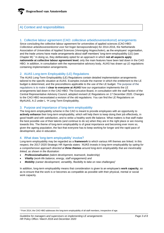## A) Context and responsibilities

### 1. Collective labour agreement (CAO: *collectieve arbeidsovereenkomst*) arrangements

Since concluding the collective labour agreement for universities of applied sciences (CAO HBO: *Collectieve arbeidsovereenkomst voor het hoger beroepsonderwijs*) for 2014-2016, the Netherlands Association of Universities of Applied Sciences (*Vereniging Hogescholen*), as the employers' organisation, and the trade unions have made arrangements about staff members' long-term-employability (LE) (see Chapter M).<sup>1</sup> In doing so, they deliberately opted for an approach in which **not all aspects apply nationwide at collective labour agreement level**; only the main features have been laid down in the CAO HBO. In addition, in consultation with the representative advisory body, AUAS has drawn up LE regulations containing implementation arrangements.

## 2. AUAS Long-term Employability (LE) Regulations

The AUAS Long-Term Employability (LE) Regulations contain detailed implementation arrangements tailored to the specific situation at AUAS. Examples include the manner in which the entitlement to the LE budget is determined, and the preconditions applicable to the use of the LE budget. The purpose of the regulations is to make it **clear to everyone at AUAS** how our organisation implements the LE arrangements laid down in the CAO HBO. The Executive Board, in consultation with the staff faction of the Central Representative Advisory Council, adopted revised LE Regulations on 17 December 2020. Changes to the CAO HBO necessitated a revision of the old regulations. You can find the LE Regulations on MyAUAS, A-Z under  $L \rightarrow$  Long-Term Employability.

### 3. Purpose and importance of long-term employability

The long-term employability scheme in the CAO is meant to provide employees with an opportunity to **actively enhance** their long-term employability, which will help them to keep doing their job effectively, in good health and with satisfaction, and to strike a healthy work-life balance. What matters is that staff make the best possible use of their talents (and continue to do so) when they are in the right place or are moving towards this. The theme of long-term employability is of great importance and becoming ever more so, given the ageing population, the fact that everyone has to keep working for longer and the rapid pace of development, also in education.

### 4. What does 'long-term employability' involve?

Long-term employability may be regarded as a **framework** to which various HR themes are linked. In this respect, the 2017-2020 Strategic HR Agenda states: *'AUAS invests in long-term employability by opting for a comprehensive approach directed at three themes around long-term employability that are inextricably linked, as shown in the illustration:*

- *Professionalisation (talent development, teamwork, leadership)*
- *Vitality (work-life balance, energy, staff engagement) and*
- *Mobility (career development, versatility, flexibility to take on new challenges)'*

In addition, long-term employability means that consideration is given to an employee's **work capacity**, so as to ensure that the work is or becomes as compatible as possible with their physical, mental or social work capacity.

*Guideline for managers and supervisors on implementing LE arrangements Page 3 of 8 HR Policy Office / March 2018 and December 2020*

<sup>1</sup> From 2014, the CAO HBO addresses the long-term employability of all staff members, irrespective of age.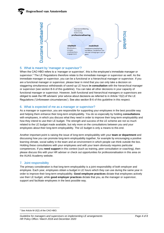

## 5. What is meant by 'manager or supervisor'?

When the CAO HBO refers to a 'manager or supervisor', this is the employee's immediate manager or supervisor.<sup>2</sup> The LE Regulations therefore relate to the immediate manager or supervisor as well. As the immediate manager or supervisor, you can be a functional or a hierarchical manager or supervisor. If you are a functional manager or supervisor, please bear in mind that you can only take a decision on staggering simultaneous withdrawals of saved-up LE hours **in consultation** with the hierarchical manager or supervisor (see section B-6 of this guideline). You can take all other decisions in your capacity of functional manager or supervisor. However, both functional and hierarchical managers or supervisors are obliged to seek the HR advisers' prior advice about decisions as referred to in Article 13(2) of the LE Regulations ('Unforeseen circumstances'). See also section B-6 of this guideline in this respect.

## 6. What is expected of me as a manager or supervisor?

As a manager or supervisor, you are responsible for supporting your employees in the best possible way and helping them enhance their long-term employability. You do so especially by holding **consultations** with employees, in which you discuss what they need in order to improve their long-term employability and how they intend to use their LE budget. The strength and success of the LE scheme are not so much related to the LE budget made available, but rely more on the consultations between you and your employees about their long-term employability. The LE budget is only a means to this end.

Another important point is raising the issue of long-term employability with your **team or department** and discussing how you can promote long-term employability together, for example by encouraging a positive learning climate, social safety in the team and an environment in which people can think outside the box. Holding these consultations with your employees and with your team obviously requires particular competences. If you **need support** in this context (such as training, peer consultation or coaching), then please discuss this with your HR adviser or check out opportunities for professionalisation in this area on the AUAS Academy website.

## 7. Joint responsibility

The primary consideration is that long-term employability is a joint responsibility of both employer and employee. Each year, employees obtain a budget in LE hours which they can use during the same year in order to improve their long-term employability. **Good employee practices** dictate that employees actively use their LE budget, while **good employer practices** dictate that you, as the manager or supervisor, support and facilitate employees in the best possible way.

<sup>2</sup> See Article M-1f(2) of the CAO HBO.

*Guideline for managers and supervisors on implementing LE arrangements Page 4 of 8 HR Policy Office / March 2018 and December 2020*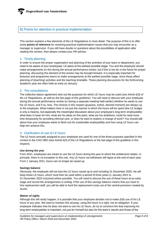## B) Points for attention in practical implementation

This section explains a few elements of the LE Regulations in more detail. The purpose of this is to offer some **points of reference** for resolving practical implementation issues that you may encounter as a manager or supervisor. If you still have doubts or questions about the possibilities of application after reading this section, then please contact your HR adviser.

## 1. Timely planning

In order to ensure the proper organisation and planning of the activities of your team or department, you need to be aware of your employees' LE plans at the earliest possible stage. You and the employee should make arrangements on this during the annual performance review, but if this is too far in the future for proper planning, discussing this element of the review may be brought forward. It is especially important for lecturers and programme teams to make arrangements at the earliest possible stage, since these affect planning of (teaching) activities and the teaching timetable. These planning discussions for the forthcoming academic year are often held as early as January.

### 2. The consultations

The collective labour agreement sets out the purposes for which LE hours may be used (*see Article 6(3) of the LE Regulations, as well as the last page of this guideline*). You will need to discuss with your employee during the annual performance review (or during a separate meeting held earlier) whether he wants to use his LE hours, and if so, how. The choices in this respect (purpose, extent, desired moment) are always up to the employee. What matters here is not just the manner in which the hours will be spent (the LE budget is only a means), but especially the meaningful discussion about your employee's long-term employability: what does it mean for him, what are his ideas on this point, what are his ambitions, could he need more time temporarily for providing informal care, or does he want to explore a change of work? You should talk about how your employee wants to flesh out his sustainable employability and how using LE hours can help him achieve this.

## 3. Clarification of use of LE hours

The LE hours annually assigned to your employee are used for one of the three purposes specified in this context in the CAO HBO (see Article 6(3) of the LE Regulations or the last page of this guideline in this respect).

#### **Use during the year**

From 2021, employees are meant to use the LE hours during the year to which the entitlement relates. In principle, there is no exception to this rule. Any LE hours not withdrawn will lapse at the end of each year. From 1 January 2021, hours can no longer be saved up.

#### **Savings balance**

Obviously, the employee will not lose the LE hours saved up to and including 31 December 2020. He will keep these LE hours, which must then be used within a period of three years (1 January 2021 to 31 December 2023 inclusive) where possible. You will need to discuss the use of these hours at an early stage and record the arrangements in writing. If the use of this savings balance means that you have to hire replacement staff, you will be able to fund the replacement costs out of the central provision created by AUAS.

#### **Waiver of rights**

Although this will rarely happen, it is possible that your employee decides not to make (full) use of his LE hours in any year. We want to mention this anyway; using the hours is a right, not an obligation. If your employee indicates that he does not want to use his LE hours, do try to convince him that improving his long-term employability is important, not just for himself but also for the team's results and those of the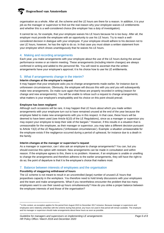organisation as a whole. After all, the scheme and the LE hours are there for a reason. In addition, it is your job as the manager or supervisor to find out the real reason why your employee waives LE entitlements and whether this is a well-considered choice (the employer has a duty of investigation).

It cannot be so, for example, that your employee waives his LE hours because he is too busy. After all, the employer must provide the employee with an opportunity to use his LE hours. Try to reach a wellconsidered decision in dialogue with your employee. If your employee should adhere to his decision not to use LE hours, however, he has the right to do so. In that case you must obtain a written statement from your employee which shows unambiguously that he waives his LE hours.

## 4. Making and recording arrangements

Each year, you make arrangements with your employee about the use of the LE hours during the annual performance review or an interim meeting. These arrangements (including interim changes) are always confirmed in writing and added to the personnel file. You will need to ascertain that the written arrangements have your employee's approval; it is his choice how to use his LE entitlements.

## 5. What if arrangements change in the interim?

#### **Interim changes at the employee's request**

It may happen that your employee asks you to change arrangements made earlier, for instance due to unforeseen circumstances. Obviously, the employee will discuss this with you and you will subsequently make new arrangements. Do make sure again that these are properly recorded in writing (reason for change and new arrangements). You will be unable to refuse such a request to change arrangements; what matters is your employee's employability and his choice on this point should prevail.

#### **Employee has been negligent**

Although such occasions will be rare, it may happen that LE hours about which you made written arrangements with your employee turn out to have remained unused at the end of the year because the employee failed to make new arrangements with you in this respect. In that case, these hours will be deemed to have been used (see Article 6(10) of the LE Regulations), since as a manager or supervisor you may expect your employee to keep their side of the bargain.<sup>3</sup> However, if this results in a situation that is unreasonable for the employee, as their manager or supervisor, you may take a different decision pursuant to Article 13(2) of the LE Regulations ('Unforeseen circumstances'). Example: a situation unreasonable for the employee exists if the negligence occurred during a period of upheaval, for instance due to a death in the family.

#### **Interim changes at the manager or supervisor's request**

As a manager or supervisor, can I also ask an employee to change arrangements? You can, but you should exercise this option with restraint. New arrangements can be made in consultation and within reason. If the employee agrees to this, there is no problem. However, if an employee is unable or unwilling to change the arrangements and therefore adheres to the earlier arrangements, they will have the right to do so; the point of departure is that it is the employee's choice that matters most.

### 7. Balance between interests of employees and the organisation

#### **Possibility of staggering withdrawal of hours**

The LE scheme is not meant to result in an uncontrolled (large) number of unused LE hours that jeopardises capacity in the workplace. You therefore need to hold timely discussions with your employees and the team and make arrangements. What if you nevertheless encounter the problem that too many employees want to use their saved-up hours simultaneously? How do you strike a proper balance between the employee interests of and those of the organisation?

<sup>&</sup>lt;sup>3</sup> In this context, an exception applies for the period from August 2015 to December 2017 inclusive. Because manager or supervisors and employees were relatively unfamiliar with the scheme during that period, any hours not used in that period will remain available. The employee and his manager or supervisor should make arrangements about these hours as soon as possible.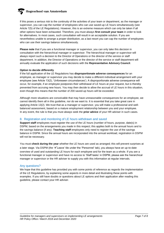If this poses a serious risk to the continuity of the activities of your team or department, as the manager or supervisor, you can cap the number of employees who can use saved-up LE hours simultaneously (see Article 7(5) of the LE Regulations). However, this is an extreme measure which can only be taken if all other options have been exhausted. Therefore, you must always **first consult your team** in order to look for alternatives. In most cases, such consultation will result in an acceptable solution. If you are nevertheless unable to arrange a proper distribution, as a last resort you can cap the number of employees who can use their savings balance simultaneously.

**Please note** that if you are a functional manager or supervisor, you can only take this decision in consultation with the hierarchical manager or supervisor. The hierarchical manager or supervisor will always report such a decision to the Director of Operations or the director of the service or staff department. In addition, the Director of Operations or the director of the service or staff department will annually evaluate the application of such decisions with the **Representative Advisory Council**.

#### **Option to decide differently**

If the full application of the LE Regulations has **disproportionate adverse consequences** for an employee, as manager or supervisor you may decide to make a different individual arrangement with your employee (see Article 13(2), 'Unforeseen circumstances'). A disproportionate adverse consequence will occur, for example, if an employee postpones their withdrawal of LE hours at your request, but is thereby prevented from accruing new hours. You may then decide to allow the accrual of LE hours in this situation, even though this means that the number of 200 saved-up hours will be exceeded.

Although more situations are conceivable that may have unreasonable consequences for an employee, we cannot identify them all in this guideline, nor do we want to. It is essential that you take great care in applying Article 13(2). We trust that as a manager or supervisor, you will make a professional and wellbalanced assessment, based on a mature employment relationship between you and your employee. In any event, the rule is that you must always seek the **prior advice** of your HR adviser in such cases.

## 8. Registration and monitoring of LE hours withdrawn and saved

**Support staff** employees must register the use of the LE hours (number of hours, purpose, date(s) in DSPM, based on the arrangements you made in this respect; this applies both to the annual hours and to the savings balance (if any). **Teaching staff** employees only need to register the use of the savings balance in DSPM. Since the annual hours are incorporated into the annual workload, registration in DSPM will not be necessary.

You must **check during the year** whether the LE hours are used as arranged; this will prevent surprises at a later stage. Via DSPM (the →'Leave' tile under the 'Personnel' tab), you always have an up-to-date overview of used and outstanding LE hours for each employee and for the team as a whole. If you are a functional manager or supervisor and have no access to 'Staff tasks' in DSPM, please ask the hierarchical manager or supervisor or the HR adviser to supply you with this information at regular intervals.

### Any questions?

We hope that this guideline has provided you with some points of reference as regards the implementation of the LE Regulations, by explaining some aspects in more detail and illustrating these points with examples. If you still have doubts or questions about LE options and their application after reading this guideline, please contact your HR adviser.